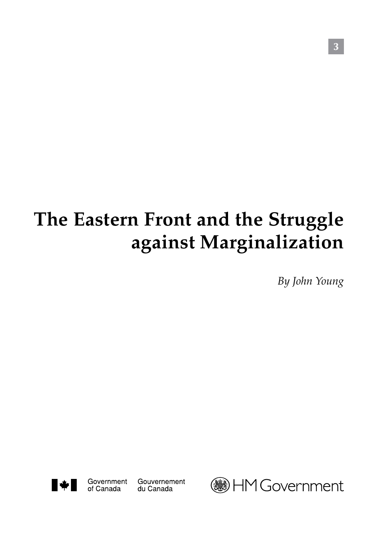# **The Eastern Front and the Struggle against Marginalization**

*By John Young*



Government

of Canada

Gouvernement du Canada



3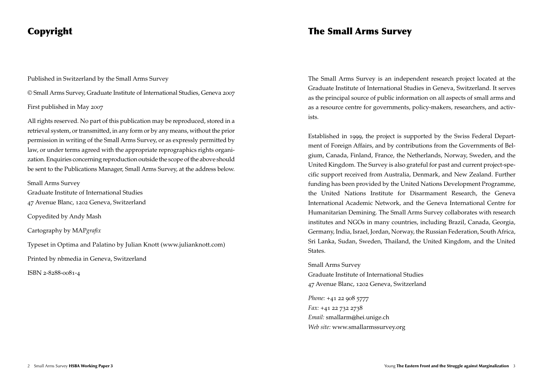# Copyright

Published in Switzerland by the Small Arms Survey

© Small Arms Survey, Graduate Institute of International Studies, Geneva 2007

First published in May 2007

All rights reserved. No part of this publication may be reproduced, stored in a retrieval system, or transmitted, in any form or by any means, without the prior permission in writing of the Small Arms Survey, or as expressly permitted by law, or under terms agreed with the appropriate reprographics rights organization. Enquiries concerning reproduction outside the scope of the above should be sent to the Publications Manager, Small Arms Survey, at the address below.

Small Arms Survey

Graduate Institute of International Studies 47 Avenue Blanc, 1202 Geneva, Switzerland

Copyedited by Andy Mash

Cartography by MAP*grafix*

Typeset in Optima and Palatino by Julian Knott (www.julianknott.com)

Printed by nbmedia in Geneva, Switzerland

ISBN 2-8288-0081-4

# The Small Arms Survey

The Small Arms Survey is an independent research project located at the Graduate Institute of International Studies in Geneva, Switzerland. It serves as the principal source of public information on all aspects of small arms and as a resource centre for governments, policy-makers, researchers, and activists.

Established in 1999, the project is supported by the Swiss Federal Department of Foreign Affairs, and by contributions from the Governments of Belgium, Canada, Finland, France, the Netherlands, Norway, Sweden, and the United Kingdom. The Survey is also grateful for past and current project-specific support received from Australia, Denmark, and New Zealand. Further funding has been provided by the United Nations Development Programme, the United Nations Institute for Disarmament Research, the Geneva International Academic Network, and the Geneva International Centre for Humanitarian Demining. The Small Arms Survey collaborates with research institutes and NGOs in many countries, including Brazil, Canada, Georgia, Germany, India, Israel, Jordan, Norway, the Russian Federation, South Africa, Sri Lanka, Sudan, Sweden, Thailand, the United Kingdom, and the United States.

Small Arms Survey Graduate Institute of International Studies 47 Avenue Blanc, 1202 Geneva, Switzerland

*Phone:* +41 22 908 5777 *Fax:* +41 22 732 2738 *Email:* smallarm@hei.unige.ch *Web site:* www.smallarmssurvey.org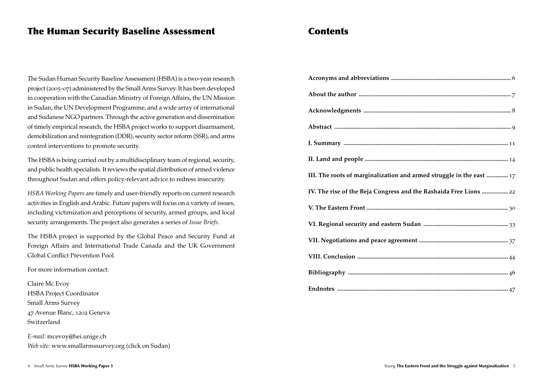# The Human Security Baseline Assessment

The Sudan Human Security Baseline Assessment (HSBA) is a two-year research project (2005–07) administered by the Small Arms Survey. It has been developed in cooperation with the Canadian Ministry of Foreign Affairs, the UN Mission in Sudan, the UN Development Programme, and a wide array of international and Sudanese NGO partners. Through the active generation and dissemination of timely empirical research, the HSBA project works to support disarmament, demobilization and reintegration (DDR), security sector reform (SSR), and arms control interventions to promote security.

The HSBA is being carried out by a multidisciplinary team of regional, security, and public health specialists. It reviews the spatial distribution of armed violence throughout Sudan and offers policy-relevant advice to redress insecurity.

*HSBA Working Papers* are timely and user-friendly reports on current research activities in English and Arabic. Future papers will focus on a variety of issues, including victimization and perceptions of security, armed groups, and local security arrangements. The project also generates a series of *Issue Briefs*.

The HSBA project is supported by the Global Peace and Security Fund at Foreign Affairs and International Trade Canada and the UK Government Global Conflict Prevention Pool.

For more information contact:

Claire Mc Evoy HSBA Project Coordinator Small Arms Survey 47 Avenue Blanc, 1202 Geneva Switzerland

*E-mail:* mcevoy@hei.unige.ch *Web site:* www.smallarmssurvey.org (click on Sudan)

# **Contents**

| III. The roots of marginalization and armed struggle in the east  17 |
|----------------------------------------------------------------------|
| IV. The rise of the Beja Congress and the Rashaida Free Lions  22    |
|                                                                      |
|                                                                      |
|                                                                      |
|                                                                      |
|                                                                      |
|                                                                      |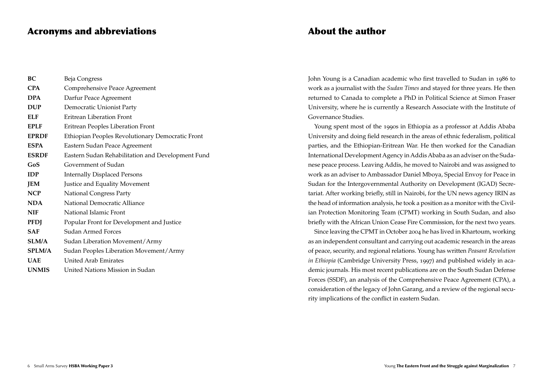### Acronyms and abbreviations

| BC            | Beja Congress                                     |
|---------------|---------------------------------------------------|
| <b>CPA</b>    | Comprehensive Peace Agreement                     |
| <b>DPA</b>    | Darfur Peace Agreement                            |
| <b>DUP</b>    | Democratic Unionist Party                         |
| ELF           | Eritrean Liberation Front                         |
| <b>EPLF</b>   | Eritrean Peoples Liberation Front                 |
| <b>EPRDF</b>  | Ethiopian Peoples Revolutionary Democratic Front  |
| <b>ESPA</b>   | Eastern Sudan Peace Agreement                     |
| <b>ESRDF</b>  | Eastern Sudan Rehabilitation and Development Fund |
| GoS           | Government of Sudan                               |
| <b>IDP</b>    | <b>Internally Displaced Persons</b>               |
| <b>JEM</b>    | Justice and Equality Movement                     |
| <b>NCP</b>    | <b>National Congress Party</b>                    |
| <b>NDA</b>    | National Democratic Alliance                      |
| <b>NIF</b>    | National Islamic Front                            |
| <b>PFDJ</b>   | Popular Front for Development and Justice         |
| <b>SAF</b>    | Sudan Armed Forces                                |
| SLM/A         | Sudan Liberation Movement/Army                    |
| <b>SPLM/A</b> | Sudan Peoples Liberation Movement/Army            |
| <b>UAE</b>    | <b>United Arab Emirates</b>                       |
| <b>UNMIS</b>  | United Nations Mission in Sudan                   |

# About the author

John Young is a Canadian academic who first travelled to Sudan in 1986 to work as a journalist with the *Sudan Times* and stayed for three years. He then returned to Canada to complete a PhD in Political Science at Simon Fraser University, where he is currently a Research Associate with the Institute of Governance Studies.

Young spent most of the 1990s in Ethiopia as a professor at Addis Ababa University and doing field research in the areas of ethnic federalism, political parties, and the Ethiopian-Eritrean War. He then worked for the Canadian International Development Agency in Addis Ababa as an adviser on the Sudanese peace process. Leaving Addis, he moved to Nairobi and was assigned to work as an adviser to Ambassador Daniel Mboya, Special Envoy for Peace in Sudan for the Intergovernmental Authority on Development (IGAD) Secretariat. After working briefly, still in Nairobi, for the UN news agency IRIN as the head of information analysis, he took a position as a monitor with the Civilian Protection Monitoring Team (CPMT) working in South Sudan, and also briefly with the African Union Cease Fire Commission, for the next two years.

Since leaving the CPMT in October 2004 he has lived in Khartoum, working as an independent consultant and carrying out academic research in the areas of peace, security, and regional relations. Young has written *Peasant Revolution in Ethiopia* (Cambridge University Press, 1997) and published widely in academic journals. His most recent publications are on the South Sudan Defense Forces (SSDF), an analysis of the Comprehensive Peace Agreement (CPA), a consideration of the legacy of John Garang, and a review of the regional security implications of the conflict in eastern Sudan.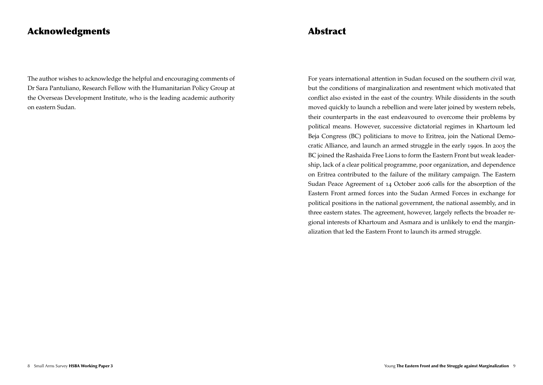# Acknowledgments

The author wishes to acknowledge the helpful and encouraging comments of Dr Sara Pantuliano, Research Fellow with the Humanitarian Policy Group at the Overseas Development Institute, who is the leading academic authority on eastern Sudan.

# Abstract

For years international attention in Sudan focused on the southern civil war, but the conditions of marginalization and resentment which motivated that conflict also existed in the east of the country. While dissidents in the south moved quickly to launch a rebellion and were later joined by western rebels, their counterparts in the east endeavoured to overcome their problems by political means. However, successive dictatorial regimes in Khartoum led Beja Congress (BC) politicians to move to Eritrea, join the National Democratic Alliance, and launch an armed struggle in the early 1990s. In 2005 the BC joined the Rashaida Free Lions to form the Eastern Front but weak leadership, lack of a clear political programme, poor organization, and dependence on Eritrea contributed to the failure of the military campaign. The Eastern Sudan Peace Agreement of 14 October 2006 calls for the absorption of the Eastern Front armed forces into the Sudan Armed Forces in exchange for political positions in the national government, the national assembly, and in three eastern states. The agreement, however, largely reflects the broader regional interests of Khartoum and Asmara and is unlikely to end the marginalization that led the Eastern Front to launch its armed struggle.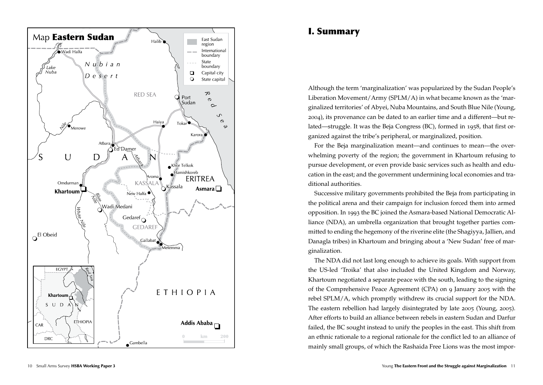

# I. Summary

Although the term 'marginalization' was popularized by the Sudan People's Liberation Movement/Army (SPLM/A) in what became known as the 'marginalized territories' of Abyei, Nuba Mountains, and South Blue Nile (Young, 2004), its provenance can be dated to an earlier time and a different—but related—struggle. It was the Beja Congress (BC), formed in 1958, that first organized against the tribe's peripheral, or marginalized, position.

For the Beja marginalization meant—and continues to mean—the overwhelming poverty of the region; the government in Khartoum refusing to pursue development, or even provide basic services such as health and education in the east; and the government undermining local economies and traditional authorities.

Successive military governments prohibited the Beja from participating in the political arena and their campaign for inclusion forced them into armed opposition. In 1993 the BC joined the Asmara-based National Democratic Alliance (NDA), an umbrella organization that brought together parties committed to ending the hegemony of the riverine elite (the Shagiyya, Jallien, and Danagla tribes) in Khartoum and bringing about a 'New Sudan' free of marginalization.

The NDA did not last long enough to achieve its goals. With support from the US-led 'Troika' that also included the United Kingdom and Norway, Khartoum negotiated a separate peace with the south, leading to the signing of the Comprehensive Peace Agreement (CPA) on 9 January 2005 with the rebel SPLM/A, which promptly withdrew its crucial support for the NDA. The eastern rebellion had largely disintegrated by late 2005 (Young, 2005). After efforts to build an alliance between rebels in eastern Sudan and Darfur failed, the BC sought instead to unify the peoples in the east. This shift from an ethnic rationale to a regional rationale for the conflict led to an alliance of mainly small groups, of which the Rashaida Free Lions was the most impor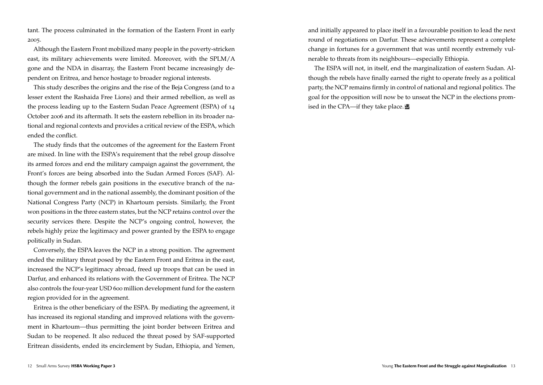tant. The process culminated in the formation of the Eastern Front in early 2005.

Although the Eastern Front mobilized many people in the poverty-stricken east, its military achievements were limited. Moreover, with the SPLM/A gone and the NDA in disarray, the Eastern Front became increasingly dependent on Eritrea, and hence hostage to broader regional interests.

This study describes the origins and the rise of the Beja Congress (and to a lesser extent the Rashaida Free Lions) and their armed rebellion, as well as the process leading up to the Eastern Sudan Peace Agreement (ESPA) of 14 October 2006 and its aftermath. It sets the eastern rebellion in its broader national and regional contexts and provides a critical review of the ESPA, which ended the conflict.

The study finds that the outcomes of the agreement for the Eastern Front are mixed. In line with the ESPA's requirement that the rebel group dissolve its armed forces and end the military campaign against the government, the Front's forces are being absorbed into the Sudan Armed Forces (SAF). Although the former rebels gain positions in the executive branch of the national government and in the national assembly, the dominant position of the National Congress Party (NCP) in Khartoum persists. Similarly, the Front won positions in the three eastern states, but the NCP retains control over the security services there. Despite the NCP's ongoing control, however, the rebels highly prize the legitimacy and power granted by the ESPA to engage politically in Sudan.

Conversely, the ESPA leaves the NCP in a strong position. The agreement ended the military threat posed by the Eastern Front and Eritrea in the east, increased the NCP's legitimacy abroad, freed up troops that can be used in Darfur, and enhanced its relations with the Government of Eritrea. The NCP also controls the four-year USD 600 million development fund for the eastern region provided for in the agreement.

Eritrea is the other beneficiary of the ESPA. By mediating the agreement, it has increased its regional standing and improved relations with the government in Khartoum—thus permitting the joint border between Eritrea and Sudan to be reopened. It also reduced the threat posed by SAF-supported Eritrean dissidents, ended its encirclement by Sudan, Ethiopia, and Yemen,

and initially appeared to place itself in a favourable position to lead the next round of negotiations on Darfur. These achievements represent a complete change in fortunes for a government that was until recently extremely vulnerable to threats from its neighbours—especially Ethiopia.

The ESPA will not, in itself, end the marginalization of eastern Sudan. Although the rebels have finally earned the right to operate freely as a political party, the NCP remains firmly in control of national and regional politics. The goal for the opposition will now be to unseat the NCP in the elections promised in the CPA—if they take place.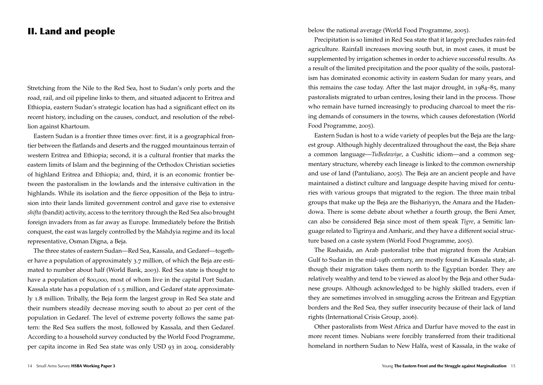# II. Land and people

Stretching from the Nile to the Red Sea, host to Sudan's only ports and the road, rail, and oil pipeline links to them, and situated adjacent to Eritrea and Ethiopia, eastern Sudan's strategic location has had a significant effect on its recent history, including on the causes, conduct, and resolution of the rebellion against Khartoum.

Eastern Sudan is a frontier three times over: first, it is a geographical frontier between the flatlands and deserts and the rugged mountainous terrain of western Eritrea and Ethiopia; second, it is a cultural frontier that marks the eastern limits of Islam and the beginning of the Orthodox Christian societies of highland Eritrea and Ethiopia; and, third, it is an economic frontier between the pastoralism in the lowlands and the intensive cultivation in the highlands. While its isolation and the fierce opposition of the Beja to intrusion into their lands limited government control and gave rise to extensive *shifta* (bandit) activity, access to the territory through the Red Sea also brought foreign invaders from as far away as Europe. Immediately before the British conquest, the east was largely controlled by the Mahdyia regime and its local representative, Osman Digna, a Beja.

The three states of eastern Sudan—Red Sea, Kassala, and Gedaref—together have a population of approximately 3.7 million, of which the Beja are estimated to number about half (World Bank, 2003). Red Sea state is thought to have a population of 800,000, most of whom live in the capital Port Sudan. Kassala state has a population of 1.5 million, and Gedaref state approximately 1.8 million. Tribally, the Beja form the largest group in Red Sea state and their numbers steadily decrease moving south to about 20 per cent of the population in Gedaref. The level of extreme poverty follows the same pattern: the Red Sea suffers the most, followed by Kassala, and then Gedaref. According to a household survey conducted by the World Food Programme, per capita income in Red Sea state was only USD 93 in 2004, considerably below the national average (World Food Programme, 2005).

Precipitation is so limited in Red Sea state that it largely precludes rain-fed agriculture. Rainfall increases moving south but, in most cases, it must be supplemented by irrigation schemes in order to achieve successful results. As a result of the limited precipitation and the poor quality of the soils, pastoralism has dominated economic activity in eastern Sudan for many years, and this remains the case today. After the last major drought, in 1984–85, many pastoralists migrated to urban centres, losing their land in the process. Those who remain have turned increasingly to producing charcoal to meet the rising demands of consumers in the towns, which causes deforestation (World Food Programme, 2005).

Eastern Sudan is host to a wide variety of peoples but the Beja are the largest group. Although highly decentralized throughout the east, the Beja share a common language—*TuBedawiye*, a Cushitic idiom—and a common segmentary structure, whereby each lineage is linked to the common ownership and use of land (Pantuliano, 2005). The Beja are an ancient people and have maintained a distinct culture and language despite having mixed for centuries with various groups that migrated to the region. The three main tribal groups that make up the Beja are the Bishariyyn, the Amara and the Hadendowa. There is some debate about whether a fourth group, the Beni Amer, can also be considered Beja since most of them speak *Tigre*, a Semitic language related to Tigrinya and Amharic, and they have a different social structure based on a caste system (World Food Programme, 2005).

The Rashaida, an Arab pastoralist tribe that migrated from the Arabian Gulf to Sudan in the mid-19th century, are mostly found in Kassala state, although their migration takes them north to the Egyptian border. They are relatively wealthy and tend to be viewed as aloof by the Beja and other Sudanese groups. Although acknowledged to be highly skilled traders, even if they are sometimes involved in smuggling across the Eritrean and Egyptian borders and the Red Sea, they suffer insecurity because of their lack of land rights (International Crisis Group, 2006).

Other pastoralists from West Africa and Darfur have moved to the east in more recent times. Nubians were forcibly transferred from their traditional homeland in northern Sudan to New Halfa, west of Kassala, in the wake of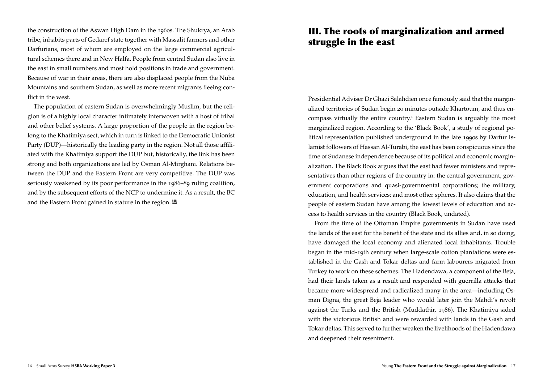the construction of the Aswan High Dam in the 1960s. The Shukrya, an Arab tribe, inhabits parts of Gedaref state together with Massalit farmers and other Darfurians, most of whom are employed on the large commercial agricultural schemes there and in New Halfa. People from central Sudan also live in the east in small numbers and most hold positions in trade and government. Because of war in their areas, there are also displaced people from the Nuba Mountains and southern Sudan, as well as more recent migrants fleeing conflict in the west.

The population of eastern Sudan is overwhelmingly Muslim, but the religion is of a highly local character intimately interwoven with a host of tribal and other belief systems. A large proportion of the people in the region belong to the Khatimiya sect, which in turn is linked to the Democratic Unionist Party (DUP)—historically the leading party in the region. Not all those affiliated with the Khatimiya support the DUP but, historically, the link has been strong and both organizations are led by Osman Al-Mirghani. Relations between the DUP and the Eastern Front are very competitive. The DUP was seriously weakened by its poor performance in the 1986–89 ruling coalition, and by the subsequent efforts of the NCP to undermine it. As a result, the BC and the Eastern Front gained in stature in the region.

# III. The roots of marginalization and armed struggle in the east

Presidential Adviser Dr Ghazi Salahdien once famously said that the marginalized territories of Sudan begin 20 minutes outside Khartoum, and thus encompass virtually the entire country.<sup>1</sup> Eastern Sudan is arguably the most marginalized region. According to the 'Black Book', a study of regional political representation published underground in the late 1990s by Darfur Islamist followers of Hassan Al-Turabi, the east has been conspicuous since the time of Sudanese independence because of its political and economic marginalization. The Black Book argues that the east had fewer ministers and representatives than other regions of the country in: the central government; government corporations and quasi-governmental corporations; the military, education, and health services; and most other spheres. It also claims that the people of eastern Sudan have among the lowest levels of education and access to health services in the country (Black Book, undated).

From the time of the Ottoman Empire governments in Sudan have used the lands of the east for the benefit of the state and its allies and, in so doing, have damaged the local economy and alienated local inhabitants. Trouble began in the mid-19th century when large-scale cotton plantations were established in the Gash and Tokar deltas and farm labourers migrated from Turkey to work on these schemes. The Hadendawa, a component of the Beja, had their lands taken as a result and responded with guerrilla attacks that became more widespread and radicalized many in the area—including Osman Digna, the great Beja leader who would later join the Mahdi's revolt against the Turks and the British (Muddathir, 1986). The Khatimiya sided with the victorious British and were rewarded with lands in the Gash and Tokar deltas. This served to further weaken the livelihoods of the Hadendawa and deepened their resentment.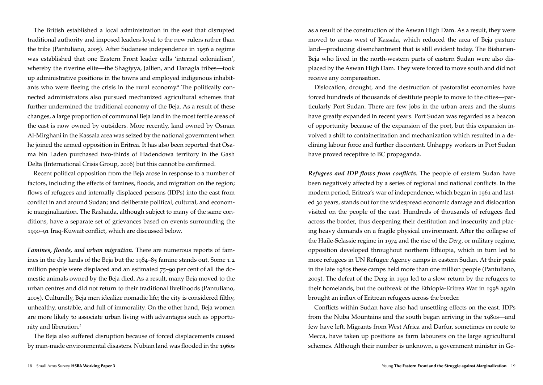The British established a local administration in the east that disrupted traditional authority and imposed leaders loyal to the new rulers rather than the tribe (Pantuliano, 2005). After Sudanese independence in 1956 a regime was established that one Eastern Front leader calls 'internal colonialism', whereby the riverine elite—the Shagiyya, Jallien, and Danagla tribes—took up administrative positions in the towns and employed indigenous inhabitants who were fleeing the crisis in the rural economy.<sup>2</sup> The politically connected administrators also pursued mechanized agricultural schemes that further undermined the traditional economy of the Beja. As a result of these changes, a large proportion of communal Beja land in the most fertile areas of the east is now owned by outsiders. More recently, land owned by Osman Al-Mirghani in the Kassala area was seized by the national government when he joined the armed opposition in Eritrea. It has also been reported that Osama bin Laden purchased two-thirds of Hadendowa territory in the Gash Delta (International Crisis Group, 2006) but this cannot be confirmed.

Recent political opposition from the Beja arose in response to a number of factors, including the effects of famines, floods, and migration on the region; flows of refugees and internally displaced persons (IDPs) into the east from conflict in and around Sudan; and deliberate political, cultural, and economic marginalization. The Rashaida, although subject to many of the same conditions, have a separate set of grievances based on events surrounding the 1990–91 Iraq-Kuwait conflict, which are discussed below.

*Famines, floods, and urban migration.* There are numerous reports of famines in the dry lands of the Beja but the 1984–85 famine stands out. Some 1.2 million people were displaced and an estimated 75–90 per cent of all the domestic animals owned by the Beja died. As a result, many Beja moved to the urban centres and did not return to their traditional livelihoods (Pantuliano, 2005). Culturally, Beja men idealize nomadic life; the city is considered filthy, unhealthy, unstable, and full of immorality. On the other hand, Beja women are more likely to associate urban living with advantages such as opportunity and liberation.<sup>3</sup>

The Beja also suffered disruption because of forced displacements caused by man-made environmental disasters. Nubian land was flooded in the 1960s

as a result of the construction of the Aswan High Dam. As a result, they were moved to areas west of Kassala, which reduced the area of Beja pasture land—producing disenchantment that is still evident today. The Bisharien-Beja who lived in the north-western parts of eastern Sudan were also displaced by the Aswan High Dam. They were forced to move south and did not receive any compensation.

Dislocation, drought, and the destruction of pastoralist economies have forced hundreds of thousands of destitute people to move to the cities—particularly Port Sudan. There are few jobs in the urban areas and the slums have greatly expanded in recent years. Port Sudan was regarded as a beacon of opportunity because of the expansion of the port, but this expansion involved a shift to containerization and mechanization which resulted in a declining labour force and further discontent. Unhappy workers in Port Sudan have proved receptive to BC propaganda.

*Refugees and IDP flows from conflicts.* The people of eastern Sudan have been negatively affected by a series of regional and national conflicts. In the modern period, Eritrea's war of independence, which began in 1961 and lasted 30 years, stands out for the widespread economic damage and dislocation visited on the people of the east. Hundreds of thousands of refugees fled across the border, thus deepening their destitution and insecurity and placing heavy demands on a fragile physical environment. After the collapse of the Haile-Selassie regime in 1974 and the rise of the *Derg*, or military regime, opposition developed throughout northern Ethiopia, which in turn led to more refugees in UN Refugee Agency camps in eastern Sudan. At their peak in the late 1980s these camps held more than one million people (Pantuliano, 2005). The defeat of the Derg in 1991 led to a slow return by the refugees to their homelands, but the outbreak of the Ethiopia-Eritrea War in 1998 again brought an influx of Eritrean refugees across the border.

Conflicts within Sudan have also had unsettling effects on the east. IDPs from the Nuba Mountains and the south began arriving in the 1980s—and few have left. Migrants from West Africa and Darfur, sometimes en route to Mecca, have taken up positions as farm labourers on the large agricultural schemes. Although their number is unknown, a government minister in Ge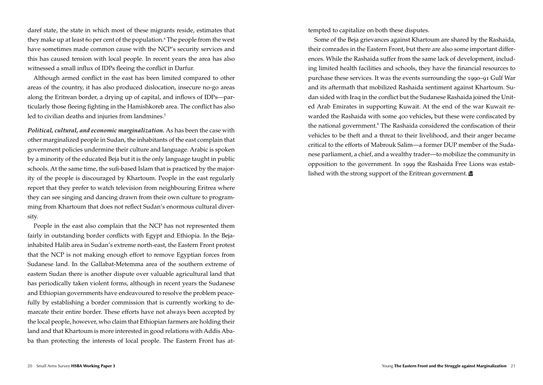daref state, the state in which most of these migrants reside, estimates that they make up at least 60 per cent of the population.<sup>4</sup> The people from the west have sometimes made common cause with the NCP's security services and this has caused tension with local people. In recent years the area has also witnessed a small influx of IDPs fleeing the conflict in Darfur.

Although armed conflict in the east has been limited compared to other areas of the country, it has also produced dislocation, insecure no-go areas along the Eritrean border, a drying up of capital, and inflows of IDPs—particularly those fleeing fighting in the Hamishkoreb area. The conflict has also led to civilian deaths and injuries from landmines.<sup>5</sup>

*Political, cultural, and economic marginalization.* As has been the case with other marginalized people in Sudan, the inhabitants of the east complain that government policies undermine their culture and language. Arabic is spoken by a minority of the educated Beja but it is the only language taught in public schools. At the same time, the sufi-based Islam that is practiced by the majority of the people is discouraged by Khartoum. People in the east regularly report that they prefer to watch television from neighbouring Eritrea where they can see singing and dancing drawn from their own culture to programming from Khartoum that does not reflect Sudan's enormous cultural diversity.

People in the east also complain that the NCP has not represented them fairly in outstanding border conflicts with Egypt and Ethiopia. In the Bejainhabited Halib area in Sudan's extreme north-east, the Eastern Front protest that the NCP is not making enough effort to remove Egyptian forces from Sudanese land. In the Gallabat-Metemma area of the southern extreme of eastern Sudan there is another dispute over valuable agricultural land that has periodically taken violent forms, although in recent years the Sudanese and Ethiopian governments have endeavoured to resolve the problem peacefully by establishing a border commission that is currently working to demarcate their entire border. These efforts have not always been accepted by the local people, however, who claim that Ethiopian farmers are holding their land and that Khartoum is more interested in good relations with Addis Ababa than protecting the interests of local people. The Eastern Front has attempted to capitalize on both these disputes.

Some of the Beja grievances against Khartoum are shared by the Rashaida, their comrades in the Eastern Front, but there are also some important differences. While the Rashaida suffer from the same lack of development, including limited health facilities and schools, they have the financial resources to purchase these services. It was the events surrounding the 1990–91 Gulf War and its aftermath that mobilized Rashaida sentiment against Khartoum. Sudan sided with Iraq in the conflict but the Sudanese Rashaida joined the United Arab Emirates in supporting Kuwait. At the end of the war Kuwait rewarded the Rashaida with some 400 vehicles**,** but these were confiscated by the national government.<sup>6</sup> The Rashaida considered the confiscation of their vehicles to be theft and a threat to their livelihood, and their anger became critical to the efforts of Mabrouk Salim—a former DUP member of the Sudanese parliament, a chief, and a wealthy trader—to mobilize the community in opposition to the government. In 1999 the Rashaida Free Lions was established with the strong support of the Eritrean government.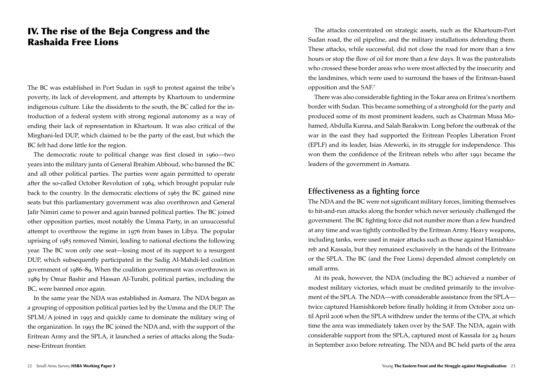# IV. The rise of the Beja Congress and the Rashaida Free Lions

The BC was established in Port Sudan in 1958 to protest against the tribe's poverty, its lack of development, and attempts by Khartoum to undermine indigenous culture. Like the dissidents to the south, the BC called for the introduction of a federal system with strong regional autonomy as a way of ending their lack of representation in Khartoum. It was also critical of the Mirghani-led DUP, which claimed to be the party of the east, but which the BC felt had done little for the region.

The democratic route to political change was first closed in 1960—two years into the military junta of General Ibrahim Abboud, who banned the BC and all other political parties. The parties were again permitted to operate after the so-called October Revolution of 1964, which brought popular rule back to the country. In the democratic elections of 1965 the BC gained nine seats but this parliamentary government was also overthrown and General Jafir Nimiri came to power and again banned political parties. The BC joined other opposition parties, most notably the Umma Party, in an unsuccessful attempt to overthrow the regime in 1976 from bases in Libya. The popular uprising of 1985 removed Nimiri, leading to national elections the following year. The BC won only one seat—losing most of its support to a resurgent DUP, which subsequently participated in the Sadig Al-Mahdi-led coalition government of 1986–89. When the coalition government was overthrown in 1989 by Omar Bashir and Hassan Al-Turabi, political parties, including the BC, were banned once again.

In the same year the NDA was established in Asmara. The NDA began as a grouping of opposition political parties led by the Umma and the DUP. The SPLM/A joined in 1995 and quickly came to dominate the military wing of the organization. In 1993 the BC joined the NDA and, with the support of the Eritrean Army and the SPLA, it launched a series of attacks along the Sudanese-Eritrean frontier.

The attacks concentrated on strategic assets, such as the Khartoum-Port Sudan road, the oil pipeline, and the military installations defending them. These attacks, while successful, did not close the road for more than a few hours or stop the flow of oil for more than a few days. It was the pastoralists who crossed these border areas who were most affected by the insecurity and the landmines, which were used to surround the bases of the Eritrean-based opposition and the SAF.<sup>7</sup>

There was also considerable fighting in the Tokar area on Eritrea's northern border with Sudan. This became something of a stronghold for the party and produced some of its most prominent leaders, such as Chairman Musa Mohamed, Abdulla Kunna, and Salah Barakwin. Long before the outbreak of the war in the east they had supported the Eritrean Peoples Liberation Front (EPLF) and its leader, Isias Afewerki, in its struggle for independence. This won them the confidence of the Eritrean rebels who after 1991 became the leaders of the government in Asmara.

#### **Effectiveness as a fighting force**

The NDA and the BC were not significant military forces, limiting themselves to hit-and-run attacks along the border which never seriously challenged the government. The BC fighting force did not number more than a few hundred at any time and was tightly controlled by the Eritrean Army. Heavy weapons, including tanks, were used in major attacks such as those against Hamishkoreb and Kassala, but they remained exclusively in the hands of the Eritreans or the SPLA. The BC (and the Free Lions) depended almost completely on small arms.

At its peak, however, the NDA (including the BC) achieved a number of modest military victories, which must be credited primarily to the involvement of the SPLA. The NDA—with considerable assistance from the SPLA twice captured Hamishkoreb before finally holding it from October 2002 until April 2006 when the SPLA withdrew under the terms of the CPA, at which time the area was immediately taken over by the SAF. The NDA, again with considerable support from the SPLA, captured most of Kassala for 24 hours in September 2000 before retreating. The NDA and BC held parts of the area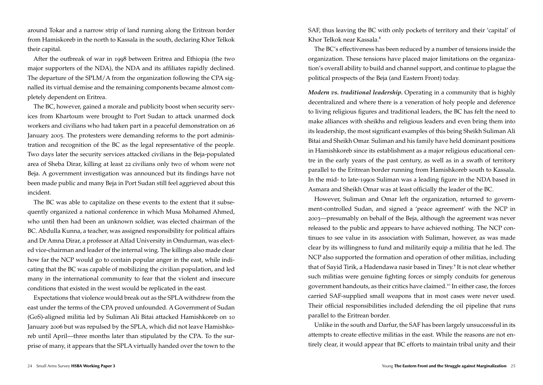around Tokar and a narrow strip of land running along the Eritrean border from Hamiskoreb in the north to Kassala in the south, declaring Khor Telkok their capital.

After the outbreak of war in 1998 between Eritrea and Ethiopia (the two major supporters of the NDA), the NDA and its affiliates rapidly declined. The departure of the SPLM/A from the organization following the CPA signalled its virtual demise and the remaining components became almost completely dependent on Eritrea.

The BC, however, gained a morale and publicity boost when security services from Khartoum were brought to Port Sudan to attack unarmed dock workers and civilians who had taken part in a peaceful demonstration on 26 January 2005. The protesters were demanding reforms to the port administration and recognition of the BC as the legal representative of the people. Two days later the security services attacked civilians in the Beja-populated area of Sheba Dirar, killing at least 22 civilians only two of whom were not Beja. A government investigation was announced but its findings have not been made public and many Beja in Port Sudan still feel aggrieved about this incident.

The BC was able to capitalize on these events to the extent that it subsequently organized a national conference in which Musa Mohamed Ahmed, who until then had been an unknown soldier, was elected chairman of the BC. Abdulla Kunna, a teacher, was assigned responsibility for political affairs and Dr Amna Dirar, a professor at Alfad University in Omdurman, was elected vice-chairman and leader of the internal wing. The killings also made clear how far the NCP would go to contain popular anger in the east, while indicating that the BC was capable of mobilizing the civilian population, and led many in the international community to fear that the violent and insecure conditions that existed in the west would be replicated in the east.

Expectations that violence would break out as the SPLA withdrew from the east under the terms of the CPA proved unfounded. A Government of Sudan (GoS)-aligned militia led by Suliman Ali Bitai attacked Hamishkoreb on 10 January 2006 but was repulsed by the SPLA, which did not leave Hamishkoreb until April—three months later than stipulated by the CPA. To the surprise of many, it appears that the SPLA virtually handed over the town to the SAF, thus leaving the BC with only pockets of territory and their 'capital' of Khor Telkok near Kassala.<sup>8</sup>

The BC's effectiveness has been reduced by a number of tensions inside the organization. These tensions have placed major limitations on the organization's overall ability to build and channel support, and continue to plague the political prospects of the Beja (and Eastern Front) today.

*Modern vs. traditional leadership.* Operating in a community that is highly decentralized and where there is a veneration of holy people and deference to living religious figures and traditional leaders, the BC has felt the need to make alliances with sheikhs and religious leaders and even bring them into its leadership, the most significant examples of this being Sheikh Suliman Ali Bitai and Sheikh Omar. Suliman and his family have held dominant positions in Hamishkoreb since its establishment as a major religious educational centre in the early years of the past century, as well as in a swath of territory parallel to the Eritrean border running from Hamishkoreb south to Kassala. In the mid- to late-1990s Suliman was a leading figure in the NDA based in Asmara and Sheikh Omar was at least officially the leader of the BC.

However, Suliman and Omar left the organization, returned to government-controlled Sudan, and signed a 'peace agreement' with the NCP in 2003—presumably on behalf of the Beja, although the agreement was never released to the public and appears to have achieved nothing. The NCP continues to see value in its association with Suliman, however, as was made clear by its willingness to fund and militarily equip a militia that he led. The NCP also supported the formation and operation of other militias, including that of Sayid Tirik, a Hadendawa nasir based in Tiney.<sup>9</sup> It is not clear whether such militias were genuine fighting forces or simply conduits for generous government handouts, as their critics have claimed.<sup>10</sup> In either case, the forces carried SAF-supplied small weapons that in most cases were never used. Their official responsibilities included defending the oil pipeline that runs parallel to the Eritrean border.

Unlike in the south and Darfur, the SAF has been largely unsuccessful in its attempts to create effective militias in the east. While the reasons are not entirely clear, it would appear that BC efforts to maintain tribal unity and their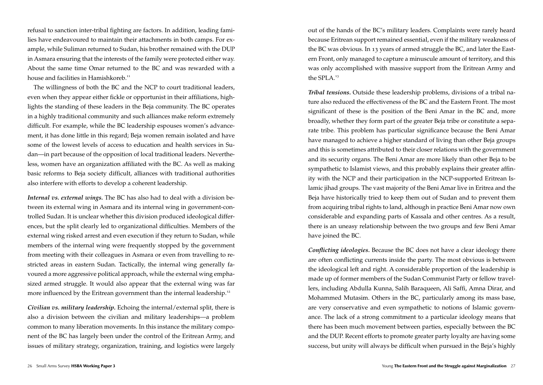refusal to sanction inter-tribal fighting are factors. In addition, leading families have endeavoured to maintain their attachments in both camps. For example, while Suliman returned to Sudan, his brother remained with the DUP in Asmara ensuring that the interests of the family were protected either way. About the same time Omar returned to the BC and was rewarded with a house and facilities in Hamishkoreb.<sup>11</sup>

The willingness of both the BC and the NCP to court traditional leaders, even when they appear either fickle or opportunist in their affiliations, highlights the standing of these leaders in the Beja community. The BC operates in a highly traditional community and such alliances make reform extremely difficult. For example, while the BC leadership espouses women's advancement, it has done little in this regard; Beja women remain isolated and have some of the lowest levels of access to education and health services in Sudan—in part because of the opposition of local traditional leaders. Nevertheless, women have an organization affiliated with the BC. As well as making basic reforms to Beja society difficult, alliances with traditional authorities also interfere with efforts to develop a coherent leadership.

*Internal vs. external wings.* The BC has also had to deal with a division between its external wing in Asmara and its internal wing in government-controlled Sudan. It is unclear whether this division produced ideological differences, but the split clearly led to organizational difficulties. Members of the external wing risked arrest and even execution if they return to Sudan, while members of the internal wing were frequently stopped by the government from meeting with their colleagues in Asmara or even from travelling to restricted areas in eastern Sudan. Tactically, the internal wing generally favoured a more aggressive political approach, while the external wing emphasized armed struggle. It would also appear that the external wing was far more influenced by the Eritrean government than the internal leadership.<sup>12</sup>

*Civilian vs. military leadership.* Echoing the internal/external split, there is also a division between the civilian and military leaderships—a problem common to many liberation movements. In this instance the military component of the BC has largely been under the control of the Eritrean Army, and issues of military strategy, organization, training, and logistics were largely out of the hands of the BC's military leaders. Complaints were rarely heard because Eritrean support remained essential, even if the military weakness of the BC was obvious. In 13 years of armed struggle the BC, and later the Eastern Front, only managed to capture a minuscule amount of territory, and this was only accomplished with massive support from the Eritrean Army and the SPLA.<sup>13</sup>

*Tribal tensions.* Outside these leadership problems, divisions of a tribal nature also reduced the effectiveness of the BC and the Eastern Front. The most significant of these is the position of the Beni Amar in the BC and, more broadly, whether they form part of the greater Beja tribe or constitute a separate tribe. This problem has particular significance because the Beni Amar have managed to achieve a higher standard of living than other Beja groups and this is sometimes attributed to their closer relations with the government and its security organs. The Beni Amar are more likely than other Beja to be sympathetic to Islamist views, and this probably explains their greater affinity with the NCP and their participation in the NCP-supported Eritrean Islamic jihad groups. The vast majority of the Beni Amar live in Eritrea and the Beja have historically tried to keep them out of Sudan and to prevent them from acquiring tribal rights to land, although in practice Beni Amar now own considerable and expanding parts of Kassala and other centres. As a result, there is an uneasy relationship between the two groups and few Beni Amar have joined the BC.

*Conflicting ideologies.* Because the BC does not have a clear ideology there are often conflicting currents inside the party. The most obvious is between the ideological left and right. A considerable proportion of the leadership is made up of former members of the Sudan Communist Party or fellow travellers, including Abdulla Kunna, Salih Baraqueen, Ali Saffi, Amna Dirar, and Mohammed Mutasim. Others in the BC, particularly among its mass base, are very conservative and even sympathetic to notions of Islamic governance. The lack of a strong commitment to a particular ideology means that there has been much movement between parties, especially between the BC and the DUP. Recent efforts to promote greater party loyalty are having some success, but unity will always be difficult when pursued in the Beja's highly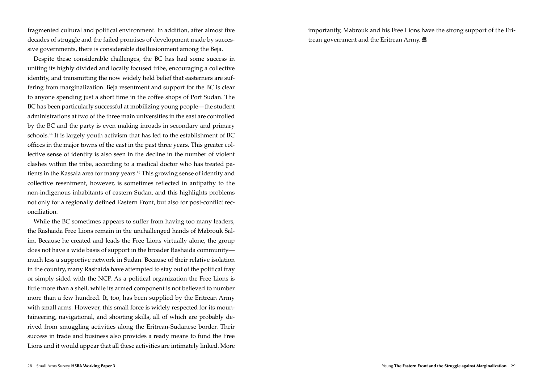fragmented cultural and political environment. In addition, after almost five decades of struggle and the failed promises of development made by successive governments, there is considerable disillusionment among the Beja.

Despite these considerable challenges, the BC has had some success in uniting its highly divided and locally focused tribe, encouraging a collective identity, and transmitting the now widely held belief that easterners are suffering from marginalization. Beja resentment and support for the BC is clear to anyone spending just a short time in the coffee shops of Port Sudan. The BC has been particularly successful at mobilizing young people—the student administrations at two of the three main universities in the east are controlled by the BC and the party is even making inroads in secondary and primary schools.<sup>14</sup> It is largely youth activism that has led to the establishment of BC offices in the major towns of the east in the past three years. This greater collective sense of identity is also seen in the decline in the number of violent clashes within the tribe, according to a medical doctor who has treated patients in the Kassala area for many years.<sup>15</sup> This growing sense of identity and collective resentment, however, is sometimes reflected in antipathy to the non-indigenous inhabitants of eastern Sudan, and this highlights problems not only for a regionally defined Eastern Front, but also for post-conflict reconciliation.

While the BC sometimes appears to suffer from having too many leaders, the Rashaida Free Lions remain in the unchallenged hands of Mabrouk Salim. Because he created and leads the Free Lions virtually alone, the group does not have a wide basis of support in the broader Rashaida community much less a supportive network in Sudan. Because of their relative isolation in the country, many Rashaida have attempted to stay out of the political fray or simply sided with the NCP. As a political organization the Free Lions is little more than a shell, while its armed component is not believed to number more than a few hundred. It, too, has been supplied by the Eritrean Army with small arms. However, this small force is widely respected for its mountaineering, navigational, and shooting skills, all of which are probably derived from smuggling activities along the Eritrean-Sudanese border. Their success in trade and business also provides a ready means to fund the Free Lions and it would appear that all these activities are intimately linked. More importantly, Mabrouk and his Free Lions have the strong support of the Eritrean government and the Eritrean Army.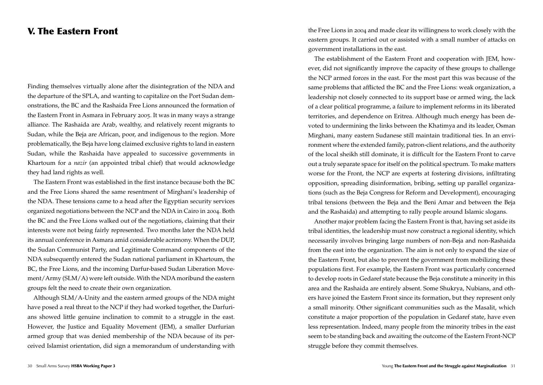#### V. The Eastern Front

Finding themselves virtually alone after the disintegration of the NDA and the departure of the SPLA, and wanting to capitalize on the Port Sudan demonstrations, the BC and the Rashaida Free Lions announced the formation of the Eastern Front in Asmara in February 2005. It was in many ways a strange alliance. The Rashaida are Arab, wealthy, and relatively recent migrants to Sudan, while the Beja are African, poor, and indigenous to the region. More problematically, the Beja have long claimed exclusive rights to land in eastern Sudan, while the Rashaida have appealed to successive governments in Khartoum for a *nazir* (an appointed tribal chief) that would acknowledge they had land rights as well.

The Eastern Front was established in the first instance because both the BC and the Free Lions shared the same resentment of Mirghani's leadership of the NDA. These tensions came to a head after the Egyptian security services organized negotiations between the NCP and the NDA in Cairo in 2004. Both the BC and the Free Lions walked out of the negotiations, claiming that their interests were not being fairly represented. Two months later the NDA held its annual conference in Asmara amid considerable acrimony. When the DUP, the Sudan Communist Party, and Legitimate Command components of the NDA subsequently entered the Sudan national parliament in Khartoum, the BC, the Free Lions, and the incoming Darfur-based Sudan Liberation Movement/Army (SLM/A) were left outside. With the NDA moribund the eastern groups felt the need to create their own organization.

Although SLM/A-Unity and the eastern armed groups of the NDA might have posed a real threat to the NCP if they had worked together, the Darfurians showed little genuine inclination to commit to a struggle in the east. However, the Justice and Equality Movement (JEM), a smaller Darfurian armed group that was denied membership of the NDA because of its perceived Islamist orientation, did sign a memorandum of understanding with the Free Lions in 2004 and made clear its willingness to work closely with the eastern groups. It carried out or assisted with a small number of attacks on government installations in the east.

The establishment of the Eastern Front and cooperation with JEM, however, did not significantly improve the capacity of these groups to challenge the NCP armed forces in the east. For the most part this was because of the same problems that afflicted the BC and the Free Lions: weak organization, a leadership not closely connected to its support base or armed wing, the lack of a clear political programme, a failure to implement reforms in its liberated territories, and dependence on Eritrea. Although much energy has been devoted to undermining the links between the Khatimya and its leader, Osman Mirghani, many eastern Sudanese still maintain traditional ties. In an environment where the extended family, patron-client relations, and the authority of the local sheikh still dominate, it is difficult for the Eastern Front to carve out a truly separate space for itself on the political spectrum. To make matters worse for the Front, the NCP are experts at fostering divisions, infiltrating opposition, spreading disinformation, bribing, setting up parallel organizations (such as the Beja Congress for Reform and Development), encouraging tribal tensions (between the Beja and the Beni Amar and between the Beja and the Rashaida) and attempting to rally people around Islamic slogans.

Another major problem facing the Eastern Front is that, having set aside its tribal identities, the leadership must now construct a regional identity, which necessarily involves bringing large numbers of non-Beja and non-Rashaida from the east into the organization. The aim is not only to expand the size of the Eastern Front, but also to prevent the government from mobilizing these populations first. For example, the Eastern Front was particularly concerned to develop roots in Gedaref state because the Beja constitute a minority in this area and the Rashaida are entirely absent. Some Shukrya, Nubians, and others have joined the Eastern Front since its formation, but they represent only a small minority. Other significant communities such as the Masalit, which constitute a major proportion of the population in Gedaref state, have even less representation. Indeed, many people from the minority tribes in the east seem to be standing back and awaiting the outcome of the Eastern Front-NCP struggle before they commit themselves.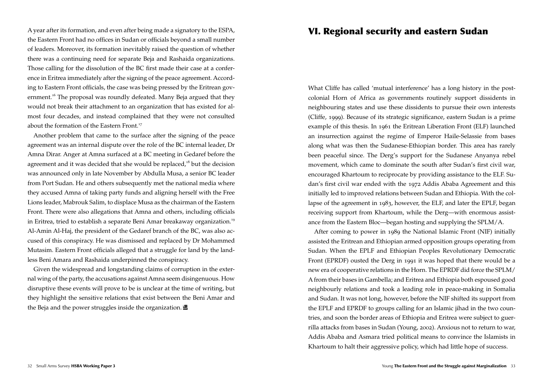A year after its formation, and even after being made a signatory to the ESPA, the Eastern Front had no offices in Sudan or officials beyond a small number of leaders. Moreover, its formation inevitably raised the question of whether there was a continuing need for separate Beja and Rashaida organizations. Those calling for the dissolution of the BC first made their case at a conference in Eritrea immediately after the signing of the peace agreement. According to Eastern Front officials, the case was being pressed by the Eritrean government.<sup>16</sup> The proposal was roundly defeated. Many Beja argued that they would not break their attachment to an organization that has existed for almost four decades, and instead complained that they were not consulted about the formation of the Eastern Front.<sup>17</sup>

Another problem that came to the surface after the signing of the peace agreement was an internal dispute over the role of the BC internal leader, Dr Amna Dirar. Anger at Amna surfaced at a BC meeting in Gedaref before the agreement and it was decided that she would be replaced,<sup>18</sup> but the decision was announced only in late November by Abdulla Musa, a senior BC leader from Port Sudan. He and others subsequently met the national media where they accused Amna of taking party funds and aligning herself with the Free Lions leader, Mabrouk Salim, to displace Musa as the chairman of the Eastern Front. There were also allegations that Amna and others, including officials in Eritrea, tried to establish a separate Beni Amar breakaway organization.<sup>19</sup> Al-Amin Al-Haj, the president of the Gedaref branch of the BC, was also accused of this conspiracy. He was dismissed and replaced by Dr Mohammed Mutasim. Eastern Front officials alleged that a struggle for land by the landless Beni Amara and Rashaida underpinned the conspiracy.

Given the widespread and longstanding claims of corruption in the external wing of the party, the accusations against Amna seem disingenuous. How disruptive these events will prove to be is unclear at the time of writing, but they highlight the sensitive relations that exist between the Beni Amar and the Beja and the power struggles inside the organization.

# VI. Regional security and eastern Sudan

What Cliffe has called 'mutual interference' has a long history in the postcolonial Horn of Africa as governments routinely support dissidents in neighbouring states and use these dissidents to pursue their own interests (Cliffe, 1999). Because of its strategic significance, eastern Sudan is a prime example of this thesis. In 1961 the Eritrean Liberation Front (ELF) launched an insurrection against the regime of Emperor Haile-Selassie from bases along what was then the Sudanese-Ethiopian border. This area has rarely been peaceful since. The Derg's support for the Sudanese Anyanya rebel movement, which came to dominate the south after Sudan's first civil war, encouraged Khartoum to reciprocate by providing assistance to the ELF. Sudan's first civil war ended with the 1972 Addis Ababa Agreement and this initially led to improved relations between Sudan and Ethiopia. With the collapse of the agreement in 1983, however, the ELF, and later the EPLF, began receiving support from Khartoum, while the Derg—with enormous assistance from the Eastern Bloc—began hosting and supplying the SPLM/A.

After coming to power in 1989 the National Islamic Front (NIF) initially assisted the Eritrean and Ethiopian armed opposition groups operating from Sudan. When the EPLF and Ethiopian Peoples Revolutionary Democratic Front (EPRDF) ousted the Derg in 1991 it was hoped that there would be a new era of cooperative relations in the Horn. The EPRDF did force the SPLM/ A from their bases in Gambella; and Eritrea and Ethiopia both espoused good neighbourly relations and took a leading role in peace-making in Somalia and Sudan. It was not long, however, before the NIF shifted its support from the EPLF and EPRDF to groups calling for an Islamic jihad in the two countries, and soon the border areas of Ethiopia and Eritrea were subject to guerrilla attacks from bases in Sudan (Young, 2002). Anxious not to return to war, Addis Ababa and Asmara tried political means to convince the Islamists in Khartoum to halt their aggressive policy, which had little hope of success.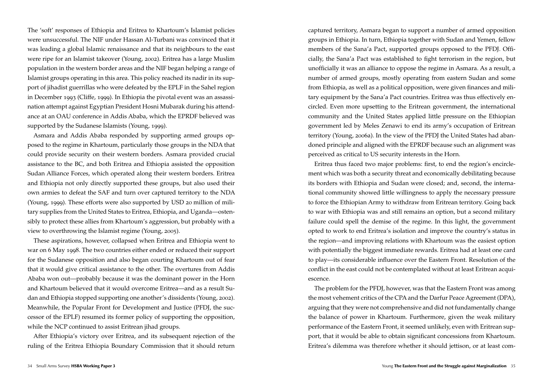The 'soft' responses of Ethiopia and Eritrea to Khartoum's Islamist policies were unsuccessful. The NIF under Hassan Al-Turbani was convinced that it was leading a global Islamic renaissance and that its neighbours to the east were ripe for an Islamist takeover (Young, 2002). Eritrea has a large Muslim population in the western border areas and the NIF began helping a range of Islamist groups operating in this area. This policy reached its nadir in its support of jihadist guerrillas who were defeated by the EPLF in the Sahel region in December 1993 (Cliffe, 1999). In Ethiopia the pivotal event was an assassination attempt against Egyptian President Hosni Mubarak during his attendance at an OAU conference in Addis Ababa, which the EPRDF believed was supported by the Sudanese Islamists (Young, 1999).

Asmara and Addis Ababa responded by supporting armed groups opposed to the regime in Khartoum, particularly those groups in the NDA that could provide security on their western borders. Asmara provided crucial assistance to the BC, and both Eritrea and Ethiopia assisted the opposition Sudan Alliance Forces, which operated along their western borders. Eritrea and Ethiopia not only directly supported these groups, but also used their own armies to defeat the SAF and turn over captured territory to the NDA (Young, 1999). These efforts were also supported by USD 20 million of military supplies from the United States to Eritrea, Ethiopia, and Uganda—ostensibly to protect these allies from Khartoum's aggression, but probably with a view to overthrowing the Islamist regime (Young, 2005).

These aspirations, however, collapsed when Eritrea and Ethiopia went to war on 6 May 1998. The two countries either ended or reduced their support for the Sudanese opposition and also began courting Khartoum out of fear that it would give critical assistance to the other. The overtures from Addis Ababa won out—probably because it was the dominant power in the Horn and Khartoum believed that it would overcome Eritrea—and as a result Sudan and Ethiopia stopped supporting one another's dissidents (Young, 2002). Meanwhile, the Popular Front for Development and Justice (PFDJ, the successor of the EPLF) resumed its former policy of supporting the opposition, while the NCP continued to assist Eritrean jihad groups.

After Ethiopia's victory over Eritrea, and its subsequent rejection of the ruling of the Eritrea Ethiopia Boundary Commission that it should return captured territory, Asmara began to support a number of armed opposition groups in Ethiopia. In turn, Ethiopia together with Sudan and Yemen, fellow members of the Sana'a Pact, supported groups opposed to the PFDJ. Officially, the Sana'a Pact was established to fight terrorism in the region, but unofficially it was an alliance to oppose the regime in Asmara. As a result, a number of armed groups, mostly operating from eastern Sudan and some from Ethiopia, as well as a political opposition, were given finances and military equipment by the Sana'a Pact countries. Eritrea was thus effectively encircled. Even more upsetting to the Eritrean government, the international community and the United States applied little pressure on the Ethiopian government led by Meles Zenawi to end its army's occupation of Eritrean territory (Young, 2006a). In the view of the PFDJ the United States had abandoned principle and aligned with the EPRDF because such an alignment was perceived as critical to US security interests in the Horn.

Eritrea thus faced two major problems: first, to end the region's encirclement which was both a security threat and economically debilitating because its borders with Ethiopia and Sudan were closed; and, second, the international community showed little willingness to apply the necessary pressure to force the Ethiopian Army to withdraw from Eritrean territory. Going back to war with Ethiopia was and still remains an option, but a second military failure could spell the demise of the regime. In this light, the government opted to work to end Eritrea's isolation and improve the country's status in the region—and improving relations with Khartoum was the easiest option with potentially the biggest immediate rewards. Eritrea had at least one card to play—its considerable influence over the Eastern Front. Resolution of the conflict in the east could not be contemplated without at least Eritrean acquiescence.

The problem for the PFDJ, however, was that the Eastern Front was among the most vehement critics of the CPA and the Darfur Peace Agreement (DPA), arguing that they were not comprehensive and did not fundamentally change the balance of power in Khartoum. Furthermore, given the weak military performance of the Eastern Front, it seemed unlikely, even with Eritrean support, that it would be able to obtain significant concessions from Khartoum. Eritrea's dilemma was therefore whether it should jettison, or at least com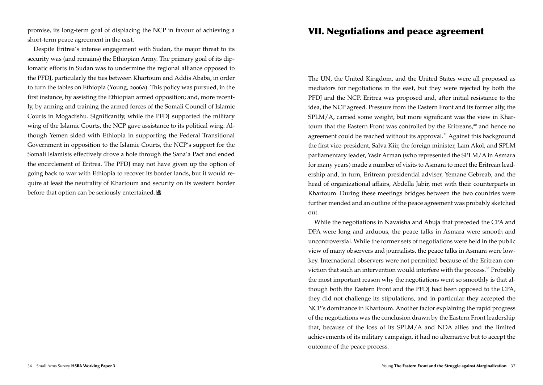promise, its long-term goal of displacing the NCP in favour of achieving a short-term peace agreement in the east.

Despite Eritrea's intense engagement with Sudan, the major threat to its security was (and remains) the Ethiopian Army. The primary goal of its diplomatic efforts in Sudan was to undermine the regional alliance opposed to the PFDJ, particularly the ties between Khartoum and Addis Ababa, in order to turn the tables on Ethiopia (Young, 2006a). This policy was pursued, in the first instance, by assisting the Ethiopian armed opposition; and, more recently, by arming and training the armed forces of the Somali Council of Islamic Courts in Mogadishu. Significantly, while the PFDJ supported the military wing of the Islamic Courts, the NCP gave assistance to its political wing. Although Yemen sided with Ethiopia in supporting the Federal Transitional Government in opposition to the Islamic Courts, the NCP's support for the Somali Islamists effectively drove a hole through the Sana'a Pact and ended the encirclement of Eritrea. The PFDJ may not have given up the option of going back to war with Ethiopia to recover its border lands, but it would require at least the neutrality of Khartoum and security on its western border before that option can be seriously entertained.  $\blacksquare$ 

#### VII. Negotiations and peace agreement

The UN, the United Kingdom, and the United States were all proposed as mediators for negotiations in the east, but they were rejected by both the PFDJ and the NCP. Eritrea was proposed and, after initial resistance to the idea, the NCP agreed. Pressure from the Eastern Front and its former ally, the SPLM/A, carried some weight, but more significant was the view in Khartoum that the Eastern Front was controlled by the Eritreans,<sup>20</sup> and hence no agreement could be reached without its approval.<sup>21</sup> Against this background the first vice-president, Salva Kiir, the foreign minister, Lam Akol, and SPLM parliamentary leader, Yasir Arman (who represented the SPLM/A in Asmara for many years) made a number of visits to Asmara to meet the Eritrean leadership and, in turn, Eritrean presidential adviser, Yemane Gebreab, and the head of organizational affairs, Abdella Jabir, met with their counterparts in Khartoum. During these meetings bridges between the two countries were further mended and an outline of the peace agreement was probably sketched out.

While the negotiations in Navaisha and Abuja that preceded the CPA and DPA were long and arduous, the peace talks in Asmara were smooth and uncontroversial. While the former sets of negotiations were held in the public view of many observers and journalists, the peace talks in Asmara were lowkey. International observers were not permitted because of the Eritrean conviction that such an intervention would interfere with the process.<sup>22</sup> Probably the most important reason why the negotiations went so smoothly is that although both the Eastern Front and the PFDJ had been opposed to the CPA, they did not challenge its stipulations, and in particular they accepted the NCP's dominance in Khartoum. Another factor explaining the rapid progress of the negotiations was the conclusion drawn by the Eastern Front leadership that, because of the loss of its SPLM/A and NDA allies and the limited achievements of its military campaign, it had no alternative but to accept the outcome of the peace process.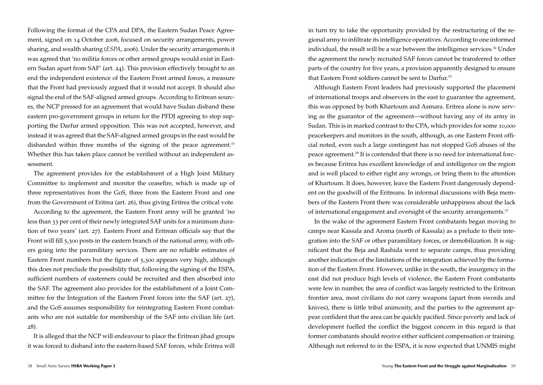Following the format of the CPA and DPA, the Eastern Sudan Peace Agreement, signed on 14 October 2006, focused on security arrangements, power sharing, and wealth sharing (*ESPA*, 2006). Under the security arrangements it was agreed that 'no militia forces or other armed groups would exist in Eastern Sudan apart from SAF' (art. 24). This provision effectively brought to an end the independent existence of the Eastern Front armed forces, a measure that the Front had previously argued that it would not accept. It should also signal the end of the SAF-aligned armed groups. According to Eritrean sources, the NCP pressed for an agreement that would have Sudan disband these eastern pro-government groups in return for the PFDJ agreeing to stop supporting the Darfur armed opposition. This was not accepted, however, and instead it was agreed that the SAF-aligned armed groups in the east would be disbanded within three months of the signing of the peace agreement.<sup>23</sup> Whether this has taken place cannot be verified without an independent assessment.

The agreement provides for the establishment of a High Joint Military Committee to implement and monitor the ceasefire, which is made up of three representatives from the GoS, three from the Eastern Front and one from the Government of Eritrea (art. 26), thus giving Eritrea the critical vote.

According to the agreement, the Eastern Front army will be granted 'no less than 33 per cent of their newly integrated SAF units for a minimum duration of two years' (art. 27). Eastern Front and Eritrean officials say that the Front will fill 5,300 posts in the eastern branch of the national army, with others going into the paramilitary services. There are no reliable estimates of Eastern Front numbers but the figure of 5,300 appears very high, although this does not preclude the possibility that, following the signing of the ESPA, sufficient numbers of easterners could be recruited and then absorbed into the SAF. The agreement also provides for the establishment of a Joint Committee for the Integration of the Eastern Front forces into the SAF (art. 27), and the GoS assumes responsibility for reintegrating Eastern Front combatants who are not suitable for membership of the SAF into civilian life (art. 28).

It is alleged that the NCP will endeavour to place the Eritrean jihad groups it was forced to disband into the eastern-based SAF forces, while Eritrea will in turn try to take the opportunity provided by the restructuring of the regional army to infiltrate its intelligence operatives. According to one informed individual, the result will be a war between the intelligence services.<sup>24</sup> Under the agreement the newly recruited SAF forces cannot be transferred to other parts of the country for five years, a provision apparently designed to ensure that Eastern Front soldiers cannot be sent to Darfur.<sup>25</sup>

Although Eastern Front leaders had previously supported the placement of international troops and observers in the east to guarantee the agreement, this was opposed by both Khartoum and Asmara. Eritrea alone is now serving as the guarantor of the agreement—without having any of its army in Sudan. This is in marked contrast to the CPA, which provides for some 10,000 peacekeepers and monitors in the south, although, as one Eastern Front official noted, even such a large contingent has not stopped GoS abuses of the peace agreement.<sup>26</sup> It is contended that there is no need for international forces because Eritrea has excellent knowledge of and intelligence on the region and is well placed to either right any wrongs, or bring them to the attention of Khartoum. It does, however, leave the Eastern Front dangerously dependent on the goodwill of the Eritreans. In informal discussions with Beja members of the Eastern Front there was considerable unhappiness about the lack of international engagement and oversight of the security arrangements.<sup>27</sup>

In the wake of the agreement Eastern Front combatants began moving to camps near Kassala and Aroma (north of Kassala) as a prelude to their integration into the SAF or other paramilitary forces, or demobilization. It is significant that the Beja and Rashida went to separate camps, thus providing another indication of the limitations of the integration achieved by the formation of the Eastern Front. However, unlike in the south, the insurgency in the east did not produce high levels of violence, the Eastern Front combatants were few in number, the area of conflict was largely restricted to the Eritrean frontier area, most civilians do not carry weapons (apart from swords and knives), there is little tribal animosity, and the parties to the agreement appear confident that the area can be quickly pacified. Since poverty and lack of development fuelled the conflict the biggest concern in this regard is that former combatants should receive either sufficient compensation or training. Although not referred to in the ESPA, it is now expected that UNMIS might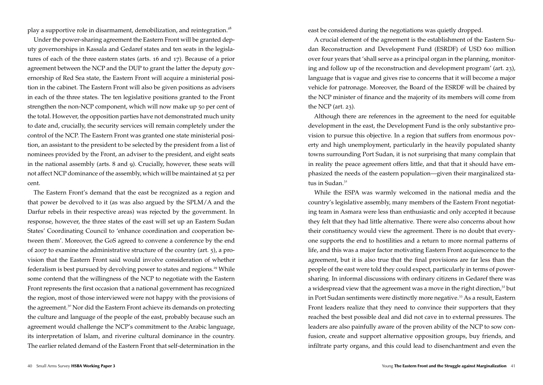play a supportive role in disarmament, demobilization, and reintegration.<sup>28</sup>

Under the power-sharing agreement the Eastern Front will be granted deputy governorships in Kassala and Gedaref states and ten seats in the legislatures of each of the three eastern states (arts. 16 and 17). Because of a prior agreement between the NCP and the DUP to grant the latter the deputy governorship of Red Sea state, the Eastern Front will acquire a ministerial position in the cabinet. The Eastern Front will also be given positions as advisers in each of the three states. The ten legislative positions granted to the Front strengthen the non-NCP component, which will now make up 50 per cent of the total. However, the opposition parties have not demonstrated much unity to date and, crucially, the security services will remain completely under the control of the NCP. The Eastern Front was granted one state ministerial position, an assistant to the president to be selected by the president from a list of nominees provided by the Front, an adviser to the president, and eight seats in the national assembly (arts. 8 and 9). Crucially, however, these seats will not affect NCP dominance of the assembly, which will be maintained at 52 per cent.

The Eastern Front's demand that the east be recognized as a region and that power be devolved to it (as was also argued by the SPLM/A and the Darfur rebels in their respective areas) was rejected by the government. In response, however, the three states of the east will set up an Eastern Sudan States' Coordinating Council to 'enhance coordination and cooperation between them'. Moreover, the GoS agreed to convene a conference by the end of 2007 to examine the administrative structure of the country (art. 5), a provision that the Eastern Front said would involve consideration of whether federalism is best pursued by devolving power to states and regions.<sup>29</sup> While some contend that the willingness of the NCP to negotiate with the Eastern Front represents the first occasion that a national government has recognized the region, most of those interviewed were not happy with the provisions of the agreement.<sup>30</sup> Nor did the Eastern Front achieve its demands on protecting the culture and language of the people of the east, probably because such an agreement would challenge the NCP's commitment to the Arabic language, its interpretation of Islam, and riverine cultural dominance in the country. The earlier related demand of the Eastern Front that self-determination in the east be considered during the negotiations was quietly dropped.

A crucial element of the agreement is the establishment of the Eastern Sudan Reconstruction and Development Fund (ESRDF) of USD 600 million over four years that 'shall serve as a principal organ in the planning, monitoring and follow up of the reconstruction and development program' (art. 23), language that is vague and gives rise to concerns that it will become a major vehicle for patronage. Moreover, the Board of the ESRDF will be chaired by the NCP minister of finance and the majority of its members will come from the NCP (art. 23).

Although there are references in the agreement to the need for equitable development in the east, the Development Fund is the only substantive provision to pursue this objective. In a region that suffers from enormous poverty and high unemployment, particularly in the heavily populated shanty towns surrounding Port Sudan, it is not surprising that many complain that in reality the peace agreement offers little, and that that it should have emphasized the needs of the eastern population—given their marginalized status in Sudan.<sup>31</sup>

While the ESPA was warmly welcomed in the national media and the country's legislative assembly, many members of the Eastern Front negotiating team in Asmara were less than enthusiastic and only accepted it because they felt that they had little alternative. There were also concerns about how their constituency would view the agreement. There is no doubt that everyone supports the end to hostilities and a return to more normal patterns of life, and this was a major factor motivating Eastern Front acquiescence to the agreement, but it is also true that the final provisions are far less than the people of the east were told they could expect, particularly in terms of powersharing. In informal discussions with ordinary citizens in Gedaref there was a widespread view that the agreement was a move in the right direction, $32$  but in Port Sudan sentiments were distinctly more negative.<sup>33</sup> As a result, Eastern Front leaders realize that they need to convince their supporters that they reached the best possible deal and did not cave in to external pressures. The leaders are also painfully aware of the proven ability of the NCP to sow confusion, create and support alternative opposition groups, buy friends, and infiltrate party organs, and this could lead to disenchantment and even the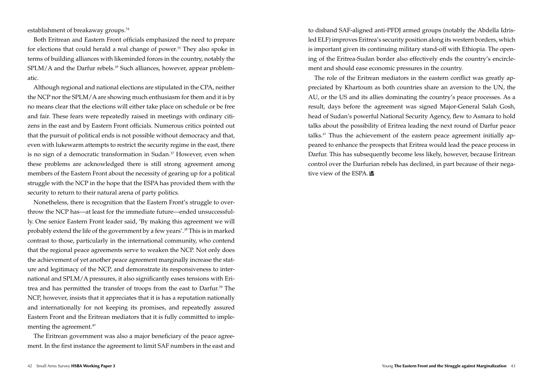establishment of breakaway groups.<sup>34</sup>

Both Eritrean and Eastern Front officials emphasized the need to prepare for elections that could herald a real change of power.<sup>35</sup> They also spoke in terms of building alliances with likeminded forces in the country, notably the  $SPLM/A$  and the Darfur rebels.<sup>36</sup> Such alliances, however, appear problematic.

Although regional and national elections are stipulated in the CPA, neither the NCP nor the SPLM/A are showing much enthusiasm for them and it is by no means clear that the elections will either take place on schedule or be free and fair. These fears were repeatedly raised in meetings with ordinary citizens in the east and by Eastern Front officials. Numerous critics pointed out that the pursuit of political ends is not possible without democracy and that, even with lukewarm attempts to restrict the security regime in the east, there is no sign of a democratic transformation in Sudan.<sup>37</sup> However, even when these problems are acknowledged there is still strong agreement among members of the Eastern Front about the necessity of gearing up for a political struggle with the NCP in the hope that the ESPA has provided them with the security to return to their natural arena of party politics.

Nonetheless, there is recognition that the Eastern Front's struggle to overthrow the NCP has—at least for the immediate future—ended unsuccessfully. One senior Eastern Front leader said, 'By making this agreement we will probably extend the life of the government by a few years'.<sup>38</sup> This is in marked contrast to those, particularly in the international community, who contend that the regional peace agreements serve to weaken the NCP. Not only does the achievement of yet another peace agreement marginally increase the stature and legitimacy of the NCP, and demonstrate its responsiveness to international and SPLM/A pressures, it also significantly eases tensions with Eritrea and has permitted the transfer of troops from the east to Darfur.<sup>39</sup> The NCP, however, insists that it appreciates that it is has a reputation nationally and internationally for not keeping its promises, and repeatedly assured Eastern Front and the Eritrean mediators that it is fully committed to implementing the agreement.<sup>40</sup>

The Eritrean government was also a major beneficiary of the peace agreement. In the first instance the agreement to limit SAF numbers in the east and to disband SAF-aligned anti-PFDJ armed groups (notably the Abdella Idrisled ELF) improves Eritrea's security position along its western borders, which is important given its continuing military stand-off with Ethiopia. The opening of the Eritrea-Sudan border also effectively ends the country's encirclement and should ease economic pressures in the country.

The role of the Eritrean mediators in the eastern conflict was greatly appreciated by Khartoum as both countries share an aversion to the UN, the AU, or the US and its allies dominating the country's peace processes. As a result, days before the agreement was signed Major-General Salah Gosh, head of Sudan's powerful National Security Agency, flew to Asmara to hold talks about the possibility of Eritrea leading the next round of Darfur peace talks.<sup>41</sup> Thus the achievement of the eastern peace agreement initially appeared to enhance the prospects that Eritrea would lead the peace process in Darfur. This has subsequently become less likely, however, because Eritrean control over the Darfurian rebels has declined, in part because of their negative view of the ESPA.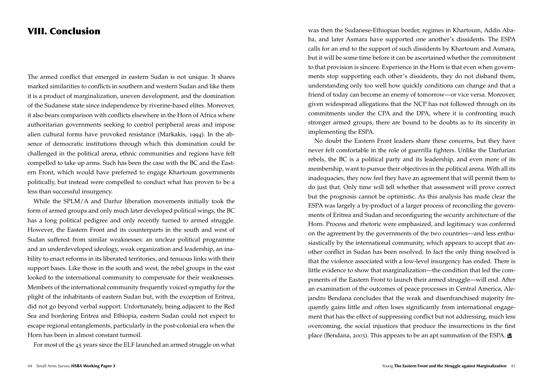### VIII. Conclusion

The armed conflict that emerged in eastern Sudan is not unique. It shares marked similarities to conflicts in southern and western Sudan and like them it is a product of marginalization, uneven development, and the domination of the Sudanese state since independence by riverine-based elites. Moreover, it also bears comparison with conflicts elsewhere in the Horn of Africa where authoritarian governments seeking to control peripheral areas and impose alien cultural forms have provoked resistance (Markakis, 1994). In the absence of democratic institutions through which this domination could be challenged in the political arena, ethnic communities and regions have felt compelled to take up arms. Such has been the case with the BC and the Eastern Front, which would have preferred to engage Khartoum governments politically, but instead were compelled to conduct what has proven to be a less than successful insurgency.

While the SPLM/A and Darfur liberation movements initially took the form of armed groups and only much later developed political wings, the BC has a long political pedigree and only recently turned to armed struggle. However, the Eastern Front and its counterparts in the south and west of Sudan suffered from similar weaknesses: an unclear political programme and an underdeveloped ideology, weak organization and leadership, an inability to enact reforms in its liberated territories, and tenuous links with their support bases. Like those in the south and west, the rebel groups in the east looked to the international community to compensate for their weaknesses. Members of the international community frequently voiced sympathy for the plight of the inhabitants of eastern Sudan but, with the exception of Eritrea, did not go beyond verbal support. Unfortunately, being adjacent to the Red Sea and bordering Eritrea and Ethiopia, eastern Sudan could not expect to escape regional entanglements, particularly in the post-colonial era when the Horn has been in almost constant turmoil.

For most of the 45 years since the ELF launched an armed struggle on what

was then the Sudanese-Ethiopian border, regimes in Khartoum, Addis Ababa, and later Asmara have supported one another's dissidents. The ESPA calls for an end to the support of such dissidents by Khartoum and Asmara, but it will be some time before it can be ascertained whether the commitment to that provision is sincere. Experience in the Horn is that even when governments stop supporting each other's dissidents, they do not disband them, understanding only too well how quickly conditions can change and that a friend of today can become an enemy of tomorrow—or vice versa. Moreover, given widespread allegations that the NCP has not followed through on its commitments under the CPA and the DPA, where it is confronting much stronger armed groups, there are bound to be doubts as to its sincerity in implementing the ESPA.

No doubt the Eastern Front leaders share these concerns, but they have never felt comfortable in the role of guerrilla fighters. Unlike the Darfurian rebels, the BC is a political party and its leadership, and even more of its membership, want to pursue their objectives in the political arena. With all its inadequacies, they now feel they have an agreement that will permit them to do just that. Only time will tell whether that assessment will prove correct but the prognosis cannot be optimistic. As this analysis has made clear the ESPA was largely a by-product of a larger process of reconciling the governments of Eritrea and Sudan and reconfiguring the security architecture of the Horn. Process and rhetoric were emphasized, and legitimacy was conferred on the agreement by the governments of the two countries—and less enthusiastically by the international community, which appears to accept that another conflict in Sudan has been resolved. In fact the only thing resolved is that the violence associated with a low-level insurgency has ended. There is little evidence to show that marginalization—the condition that led the components of the Eastern Front to launch their armed struggle—will end. After an examination of the outcomes of peace processes in Central America, Alejandro Bendana concludes that the weak and disenfranchised majority frequently gains little and often loses significantly from international engagement that has the effect of suppressing conflict but not addressing, much less overcoming, the social injustices that produce the insurrections in the first place (Bendana, 2003). This appears to be an apt summation of the ESPA.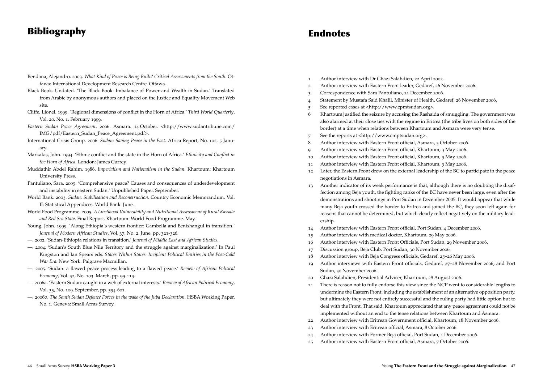# Bibliography

- Bendana, Alejandro. 2003. *What Kind of Peace is Being Built? Critical Assessments from the South.* Ottawa: International Development Research Centre. Ottawa.
- Black Book. Undated. 'The Black Book: Imbalance of Power and Wealth in Sudan.' Translated from Arabic by anonymous authors and placed on the Justice and Equality Movement Web site.
- Cliffe, Lionel. 1999. 'Regional dimensions of conflict in the Horn of Africa.' *Third World Quarterly*, Vol. 20, No. 1. February 1999.
- *Eastern Sudan Peace Agreement*. 2006. Asmara. 14 October. <http://www.sudantribune.com/ IMG/pdf/Eastern\_Sudan\_Peace\_Agreement.pdf>.
- International Crisis Group. 2006. *Sudan: Saving Peace in the East.* Africa Report, No. 102. 5 January.
- Markakis, John. 1994. 'Ethnic conflict and the state in the Horn of Africa.' *Ethnicity and Conflict in the Horn of Africa.* London: James Currey.
- Muddathir Abdel Rahim. 1986. *Imperialism and Nationalism in the Sudan.* Khartoum: Khartoum University Press.
- Pantuliano, Sara. 2005. 'Comprehensive peace? Causes and consequences of underdevelopment and instability in eastern Sudan.' Unpublished Paper. September.
- World Bank. 2003. *Sudan: Stabilisation and Reconstruction*. Country Economic Memorandum. Vol. II: Statistical Appendices. World Bank. June.
- World Food Programme. 2005. *A Livelihood Vulnerability and Nutritional Assessment of Rural Kassala and Red Sea State*. Final Report. Khartoum: World Food Programme. May.
- Young, John. 1999. 'Along Ethiopia's western frontier: Gambella and Benishangul in transition.' *Journal of Modern African Studies*, Vol. 37, No. 2. June, pp. 321-326.
- —. 2002. 'Sudan-Ethiopia relations in transition.' *Journal of Middle East and African Studies.*
- —. 2004. 'Sudan's South Blue Nile Territory and the struggle against marginalization.' In Paul Kingston and Ian Spears eds. *States Within States: Incipient Political Entities in the Post-Cold War Era.* New York: Palgrave Macmillan.
- —. 2005. 'Sudan: a flawed peace process leading to a flawed peace.' *Review of African Political Economy*, Vol. 32, No. 103. March, pp. 99-113.
- —. 2006a. 'Eastern Sudan: caught in a web of external interests.' *Review of African Political Economy*, Vol. 33, No. 109. September, pp. 594-601.
- —. 2006b. *The South Sudan Defence Forces in the wake of the Juba Declaration*. HSBA Working Paper, No. 1. Geneva: Small Arms Survey.
- **Endnotes**
- 1 Author interview with Dr Ghazi Salahdien, 22 April 2002.
- 2 Author interview with Eastern Front leader, Gedaref, 26 November 2006.
- 3 Correspondence with Sara Pantuliano, 21 December 2006.
- 4 Statement by Mustafa Said Khalil, Minister of Health, Gedaref, 26 November 2006.
- 5 See reported cases at <http://www.cpmtsudan.org>.
- 6 Khartoum justified the seizure by accusing the Rashaida of smuggling. The government was also alarmed at their close ties with the regime in Eritrea (the tribe lives on both sides of the border) at a time when relations between Khartoum and Asmara were very tense.
- 7 See the reports at <http://www.cmptsudan.org>.
- 8 Author interview with Eastern Front official, Asmara, 5 October 2006.
- 9 Author interview with Eastern Front official, Khartoum, 3 May 2006.
- 10 Author interview with Eastern Front official, Khartoum, 3 May 2006.
- 11 Author interview with Eastern Front official, Khartoum, 3 May 2006.
- 12 Later, the Eastern Front drew on the external leadership of the BC to participate in the peace negotiations in Asmara.
- 13 Another indicator of its weak performance is that, although there is no doubting the disaffection among Beja youth, the fighting ranks of the BC have never been large, even after the demonstrations and shootings in Port Sudan in December 2005. It would appear that while many Beja youth crossed the border to Eritrea and joined the BC, they soon left again for reasons that cannot be determined, but which clearly reflect negatively on the military leadership.
- 14 Author interview with Eastern Front official, Port Sudan, 4 December 2006.
- 15 Author interview with medical doctor, Khartoum, 29 May 2006.
- 16 Author interview with Eastern Front Officials, Port Sudan, 29 November 2006.
- 17 Discussion group, Beja Club, Port Sudan, 30 November 2006.
- 18 Author interview with Beja Congress officials, Gedaref, 25–26 May 2006.
- 19 Author interviews with Eastern Front officials, Gedaref, 27–28 November 2006; and Port Sudan, 30 November 2006.
- 20 Ghazi Salahdien, Presidential Adviser, Khartoum, 28 August 2006.
- 21 There is reason not to fully endorse this view since the NCP went to considerable lengths to undermine the Eastern Front, including the establishment of an alternative opposition party, but ultimately they were not entirely successful and the ruling party had little option but to deal with the Front. That said, Khartoum appreciated that any peace agreement could not be implemented without an end to the tense relations between Khartoum and Asmara.
- 22 Author interview with Eritrean Government official, Khartoum, 18 November 2006.
- 23 Author interview with Eritrean official, Asmara, 8 October 2006.
- 24 Author interview with Former Beja official, Port Sudan, 1 December 2006.
- 25 Author interview with Eastern Front official, Asmara, 7 October 2006.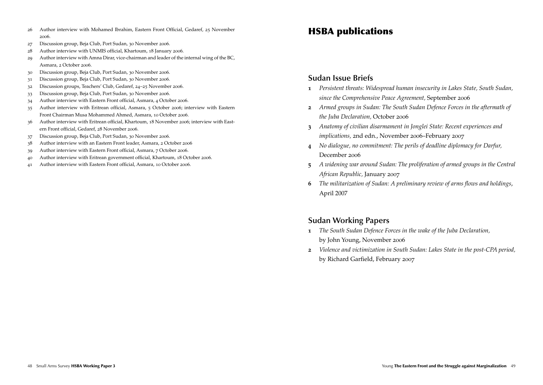- Author interview with Mohamed Ibrahim, Eastern Front Official, Gedaref, 25 November .
- Discussion group, Beja Club, Port Sudan, 30 November 2006.
- Author interview with UNMIS official, Khartoum, 18 January 2006.
- Author interview with Amna Dirar, vice-chairman and leader of the internal wing of the BC, Asmara, 2 October 2006.
- Discussion group, Beja Club, Port Sudan, 30 November 2006.
- Discussion group, Beja Club, Port Sudan, 30 November 2006.
- Discussion groups, Teachers' Club, Gedaref, 24–25 November 2006.
- Discussion group, Beja Club, Port Sudan, 30 November 2006.
- Author interview with Eastern Front official, Asmara, 4 October 2006.
- Author interview with Eritrean official, Asmara, 5 October 2006; interview with Eastern Front Chairman Musa Mohammed Ahmed, Asmara, 10 October 2006.
- Author interview with Eritrean official, Khartoum, 18 November 2006; interview with Eastern Front official, Gedaref, 28 November 2006.
- Discussion group, Beja Club, Port Sudan, 30 November 2006.
- Author interview with an Eastern Front leader, Asmara, 2 October 2006
- Author interview with Eastern Front official, Asmara, 7 October 2006.
- Author interview with Eritrean government official, Khartoum, 18 October 2006.
- Author interview with Eastern Front official, Asmara, 10 October 2006.

# HSBA publications

#### **Sudan Issue Briefs**

- *Persistent threats: Widespread human insecurity in Lakes State, South Sudan, since the Comprehensive Peace Agreement,* September 2006
- *Armed groups in Sudan: The South Sudan Defence Forces in the aftermath of the Juba Declaration,* October 2006
- *Anatomy of civilian disarmament in Jonglei State: Recent experiences and implications,* 2nd edn., November 2006–February 2007
- *No dialogue, no commitment: The perils of deadline diplomacy for Darfur,*  December 2006
- *A widening war around Sudan: The proliferation of armed groups in the Central African Republic,* January 2007
- *The militarization of Sudan: A preliminary review of arms flows and holdings*, April 2007

#### **Sudan Working Papers**

- *The South Sudan Defence Forces in the wake of the Juba Declaration,* by John Young, November 2006
- *Violence and victimization in South Sudan: Lakes State in the post-CPA period,*  by Richard Garfield, February 2007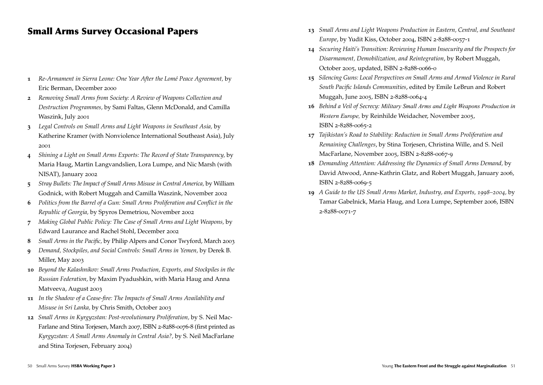# Small Arms Survey Occasional Papers

- **1**  *Re-Armament in Sierra Leone: One Year After the Lomé Peace Agreement,* by Eric Berman, December 2000
- **2**  *Removing Small Arms from Society: A Review of Weapons Collection and Destruction Programmes,* by Sami Faltas, Glenn McDonald, and Camilla Waszink, July 2001
- **3**  *Legal Controls on Small Arms and Light Weapons in Southeast Asia,* by Katherine Kramer (with Nonviolence International Southeast Asia), July 2001
- **4**  *Shining a Light on Small Arms Exports: The Record of State Transparency,* by Maria Haug, Martin Langvandslien, Lora Lumpe, and Nic Marsh (with NISAT), January 2002
- **5**  *Stray Bullets: The Impact of Small Arms Misuse in Central America,* by William Godnick, with Robert Muggah and Camilla Waszink, November 2002
- **6** *Politics from the Barrel of a Gun: Small Arms Proliferation and Conflict in the Republic of Georgia,* by Spyros Demetriou, November 2002
- **7** *Making Global Public Policy: The Case of Small Arms and Light Weapons,* by Edward Laurance and Rachel Stohl, December 2002
- **8** *Small Arms in the Pacific,* by Philip Alpers and Conor Twyford, March 2003
- **9** *Demand, Stockpiles, and Social Controls: Small Arms in Yemen,* by Derek B. Miller, May 2003
- **10** *Beyond the Kalashnikov: Small Arms Production, Exports, and Stockpiles in the Russian Federation,* by Maxim Pyadushkin, with Maria Haug and Anna Matveeva, August 2003
- **11**  *In the Shadow of a Cease-fire: The Impacts of Small Arms Availability and Misuse in Sri Lanka,* by Chris Smith, October 2003
- **12**  *Small Arms in Kyrgyzstan: Post-revolutionary Proliferation,* by S. Neil Mac-Farlane and Stina Torjesen, March 2007, ISBN 2-8288-0076-8 (first printed as *Kyrgyzstan: A Small Arms Anomaly in Central Asia?,* by S. Neil MacFarlane and Stina Torjesen, February 2004)
- **13**  *Small Arms and Light Weapons Production in Eastern, Central, and Southeast Europe*, by Yudit Kiss, October 2004, ISBN 2-8288-0057-1
- **14** *Securing Haiti's Transition: Reviewing Human Insecurity and the Prospects for Disarmament, Demobilization, and Reintegration*, by Robert Muggah, October 2005, updated, ISBN 2-8288-0066-0
- **15** *Silencing Guns: Local Perspectives on Small Arms and Armed Violence in Rural South Pacific Islands Communities*, edited by Emile LeBrun and Robert Muggah, June 2005, ISBN 2-8288-0064-4
- **16** *Behind a Veil of Secrecy: Military Small Arms and Light Weapons Production in Western Europe,* by Reinhilde Weidacher, November 2005, ISBN 2-8288-0065-2
- **17** *Tajikistan's Road to Stability: Reduction in Small Arms Proliferation and Remaining Challenges*, by Stina Torjesen, Christina Wille, and S. Neil MacFarlane, November 2005, ISBN 2-8288-0067-9
- **18** *Demanding Attention: Addressing the Dynamics of Small Arms Demand,* by David Atwood, Anne-Kathrin Glatz, and Robert Muggah, January 2006, ISBN 2-8288-0069-5
- **19** *A Guide to the US Small Arms Market, Industry, and Exports, 1998–2004,* by Tamar Gabelnick, Maria Haug, and Lora Lumpe, September 2006, ISBN 2-8288-0071-7